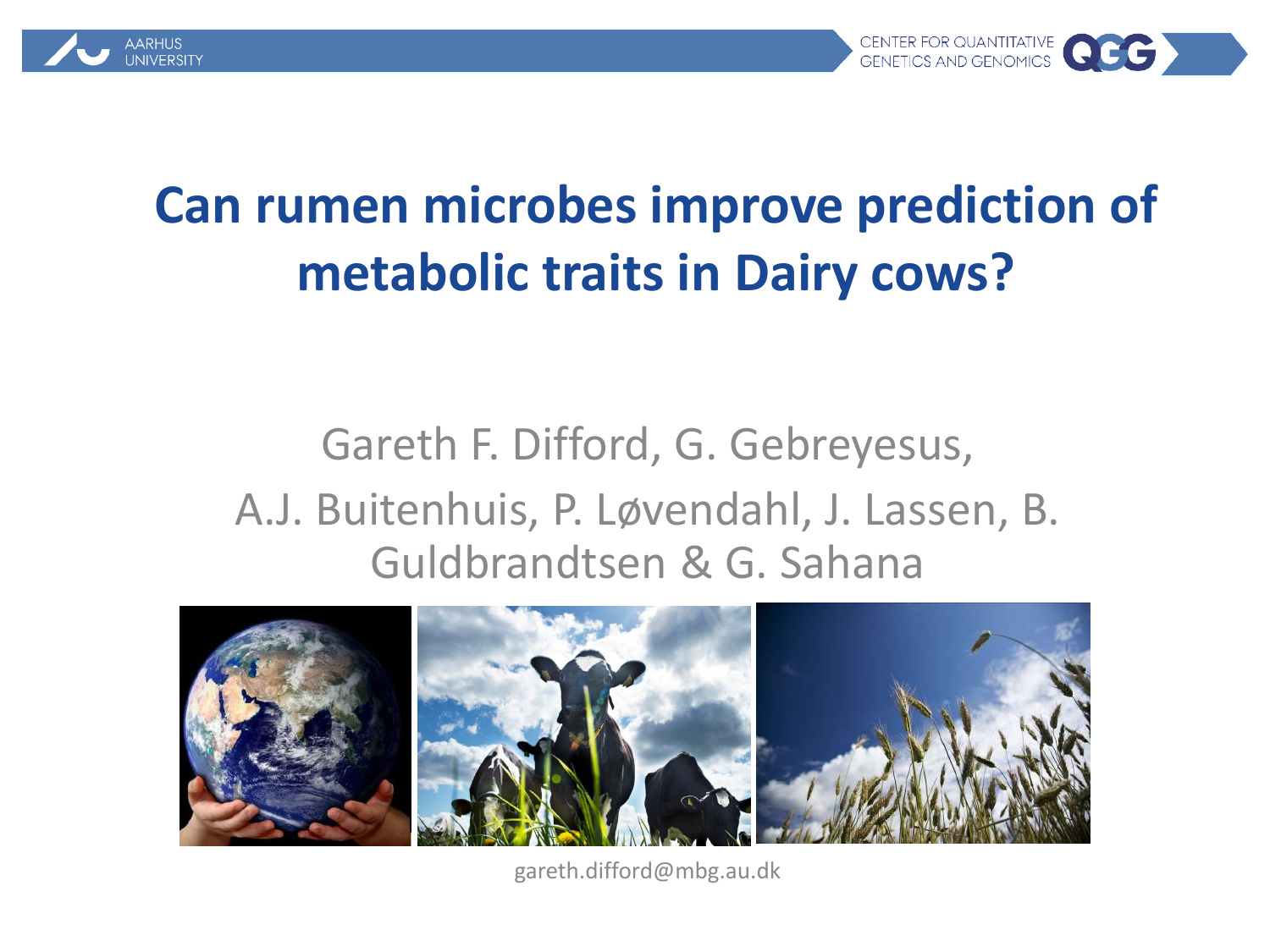



#### **Can rumen microbes improve prediction of metabolic traits in Dairy cows?**

#### Gareth F. Difford, G. Gebreyesus, A.J. Buitenhuis, P. Løvendahl, J. Lassen, B. Guldbrandtsen & G. Sahana



gareth.difford@mbg.au.dk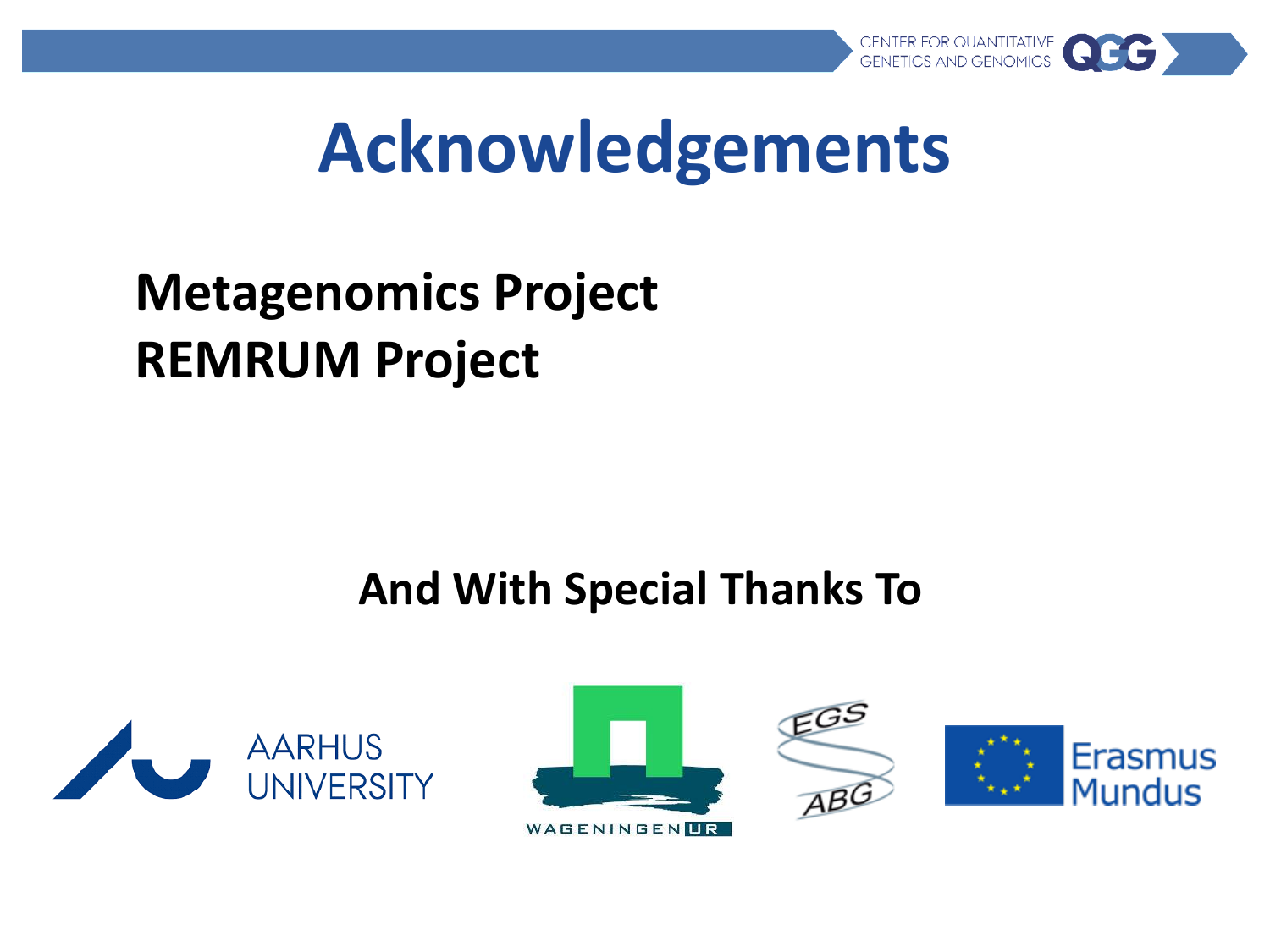

#### **Acknowledgements**

#### **Metagenomics Project REMRUM Project**

#### **And With Special Thanks To**



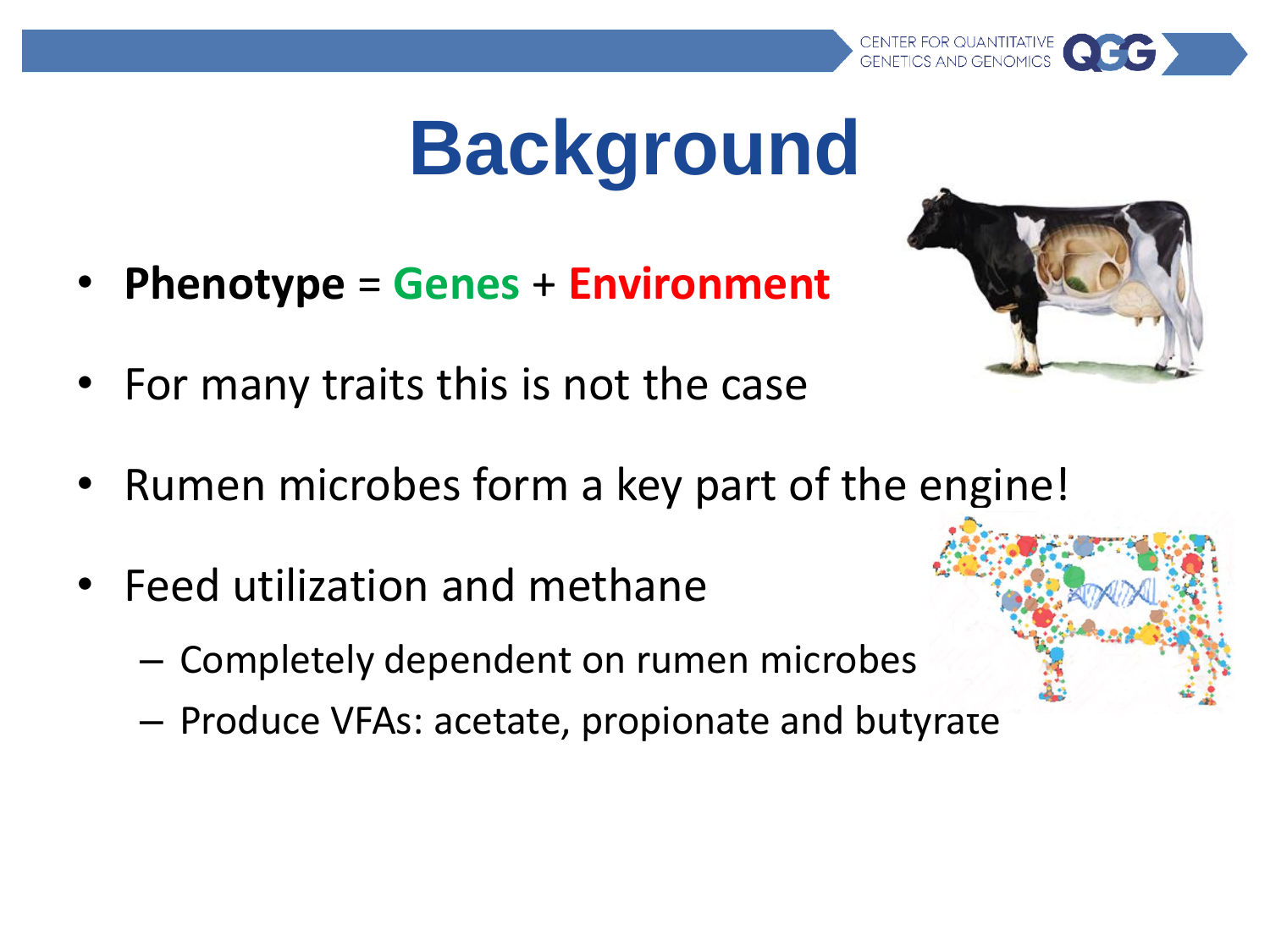# **Background**

- **Phenotype** = **Genes** + **Environment**
- For many traits this is not the case
- Rumen microbes form a key part of the engine!
- Feed utilization and methane
	- Completely dependent on rumen microbes
	- Produce VFAs: acetate, propionate and butyrate



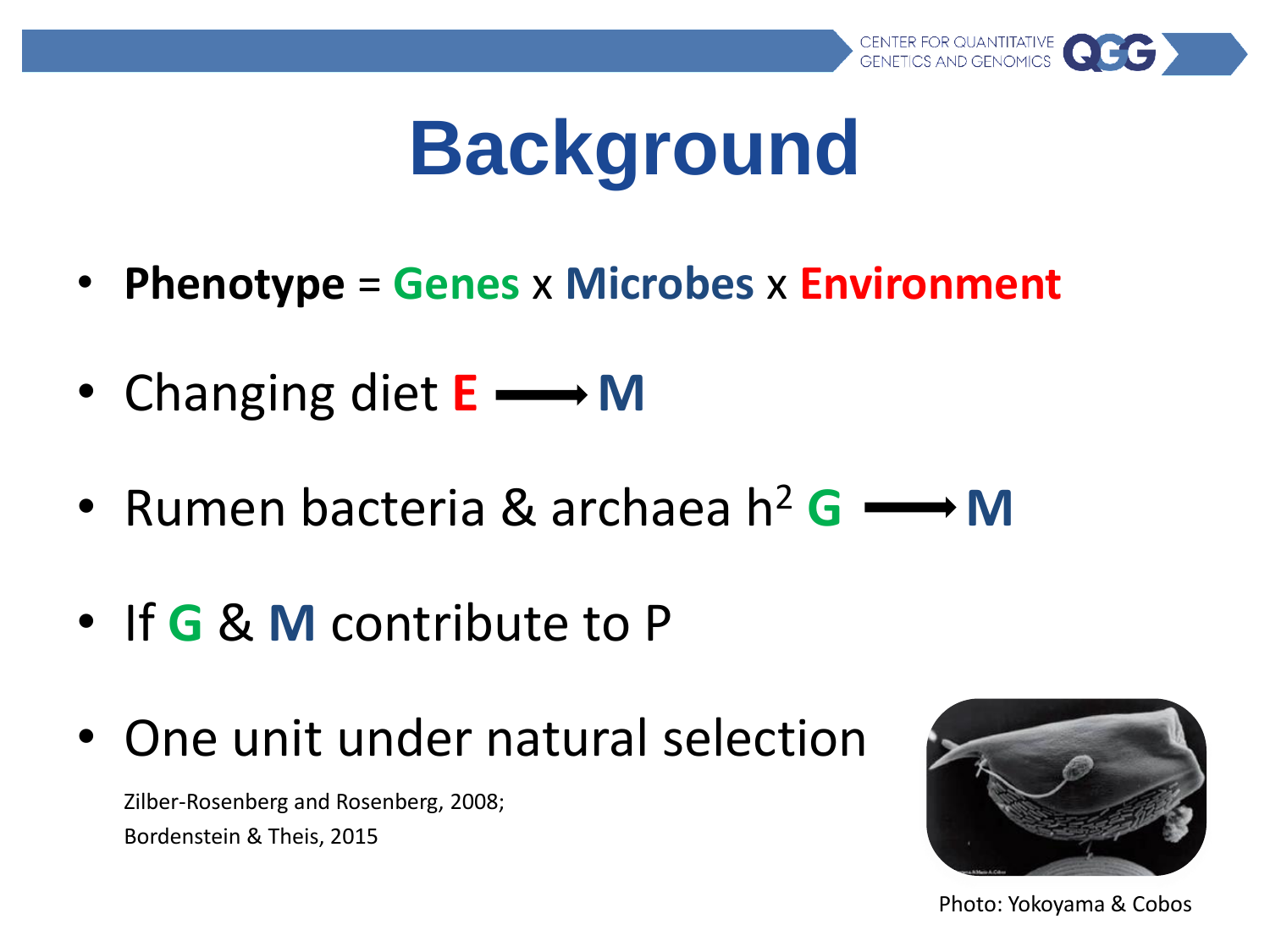

# **Background**

- **Phenotype** = **Genes** x **Microbes** x **Environment**
- Changing diet **E M**
- Rumen bacteria & archaea  $h^2$   $\mathbf{G} \longrightarrow \mathbf{M}$
- If **G** & **M** contribute to P
- One unit under natural selection

Zilber-Rosenberg and Rosenberg, 2008; Bordenstein & Theis, 2015



Photo: Yokoyama & Cobos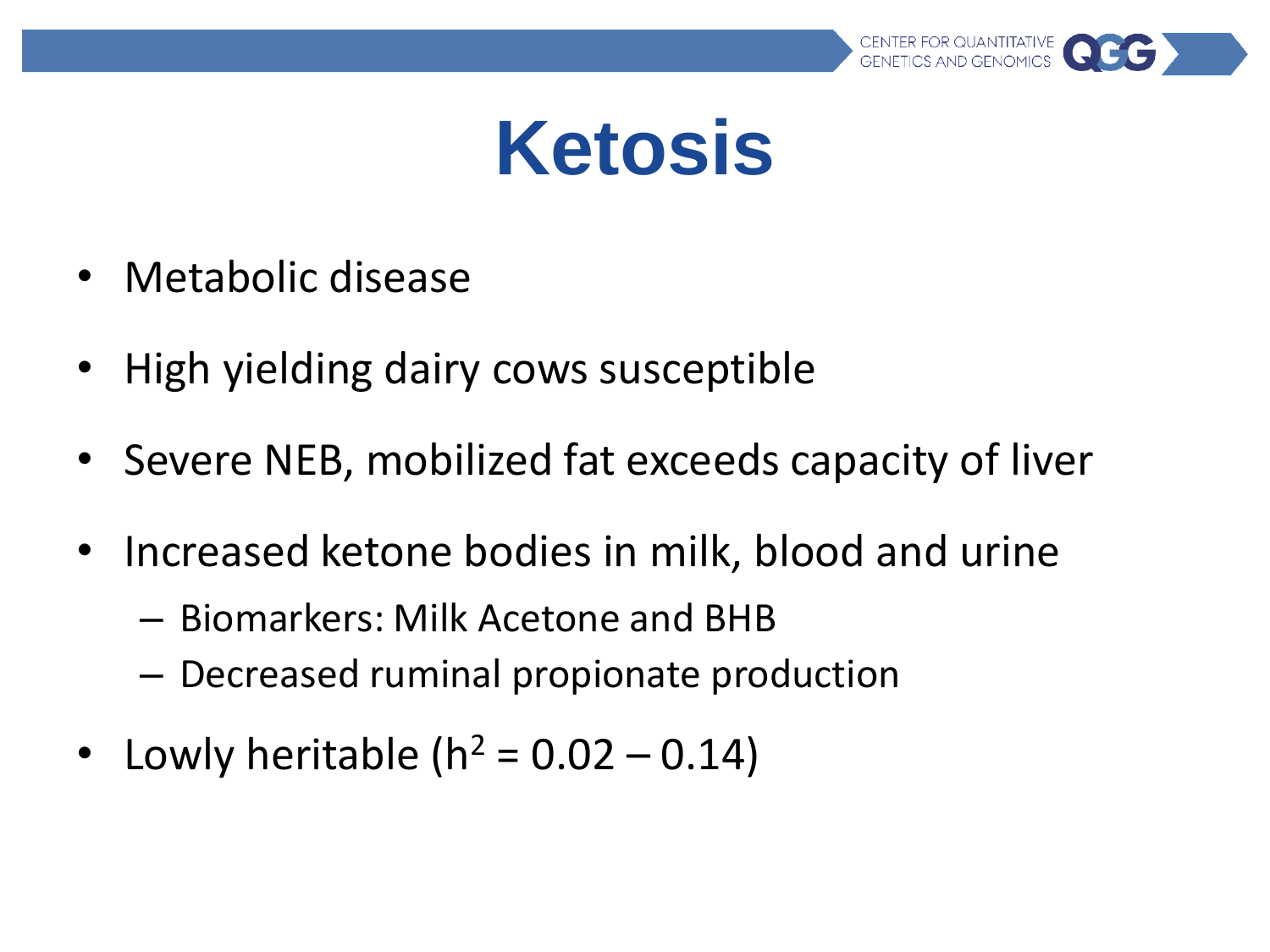

- Metabolic disease
- High yielding dairy cows susceptible
- Severe NEB, mobilized fat exceeds capacity of liver
- Increased ketone bodies in milk, blood and urine
	- Biomarkers: Milk Acetone and BHB
	- Decreased ruminal propionate production
- Lowly heritable ( $h^2 = 0.02 0.14$ )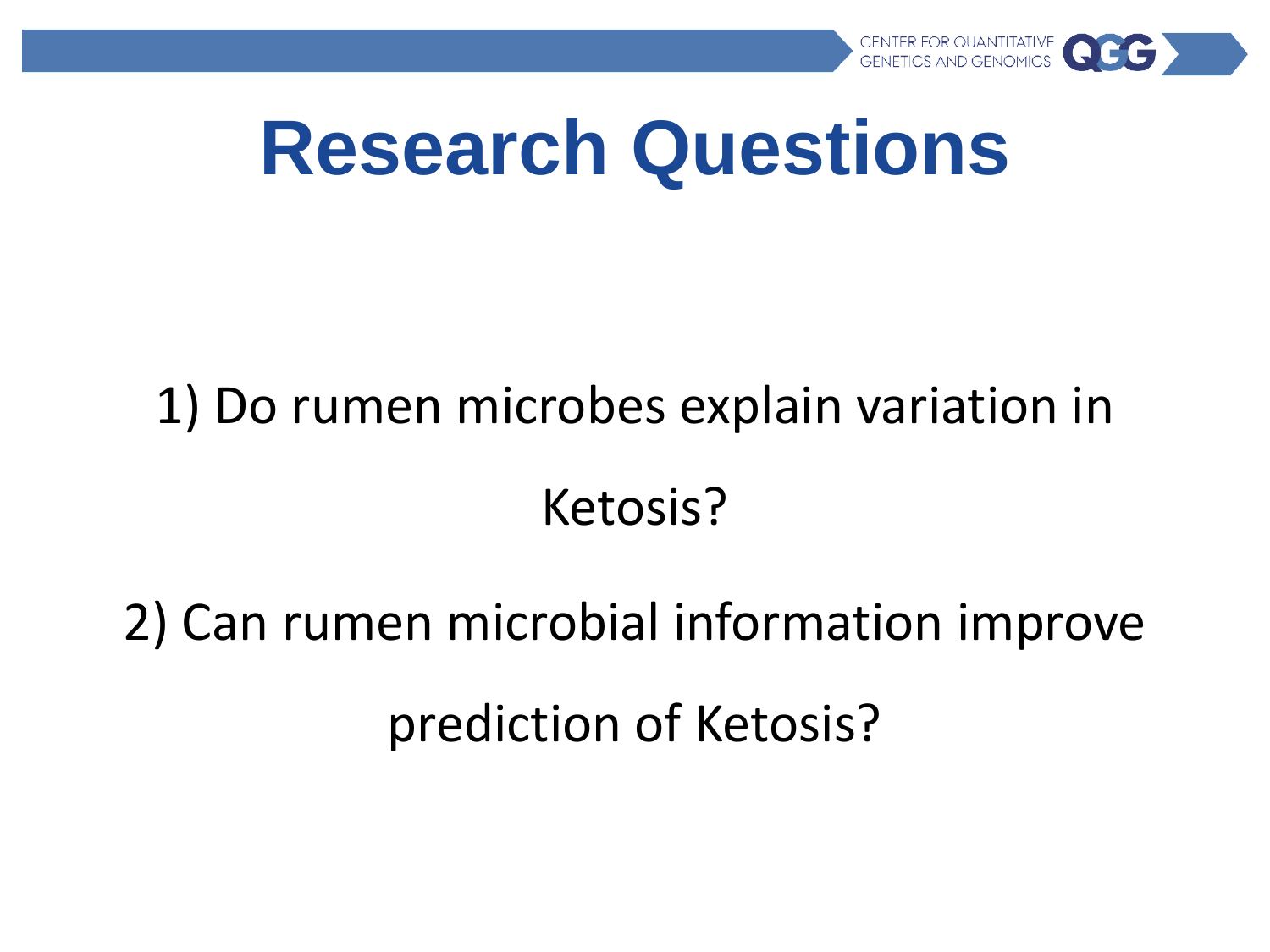

#### **Research Questions**

## 1) Do rumen microbes explain variation in Ketosis?

### 2) Can rumen microbial information improve prediction of Ketosis?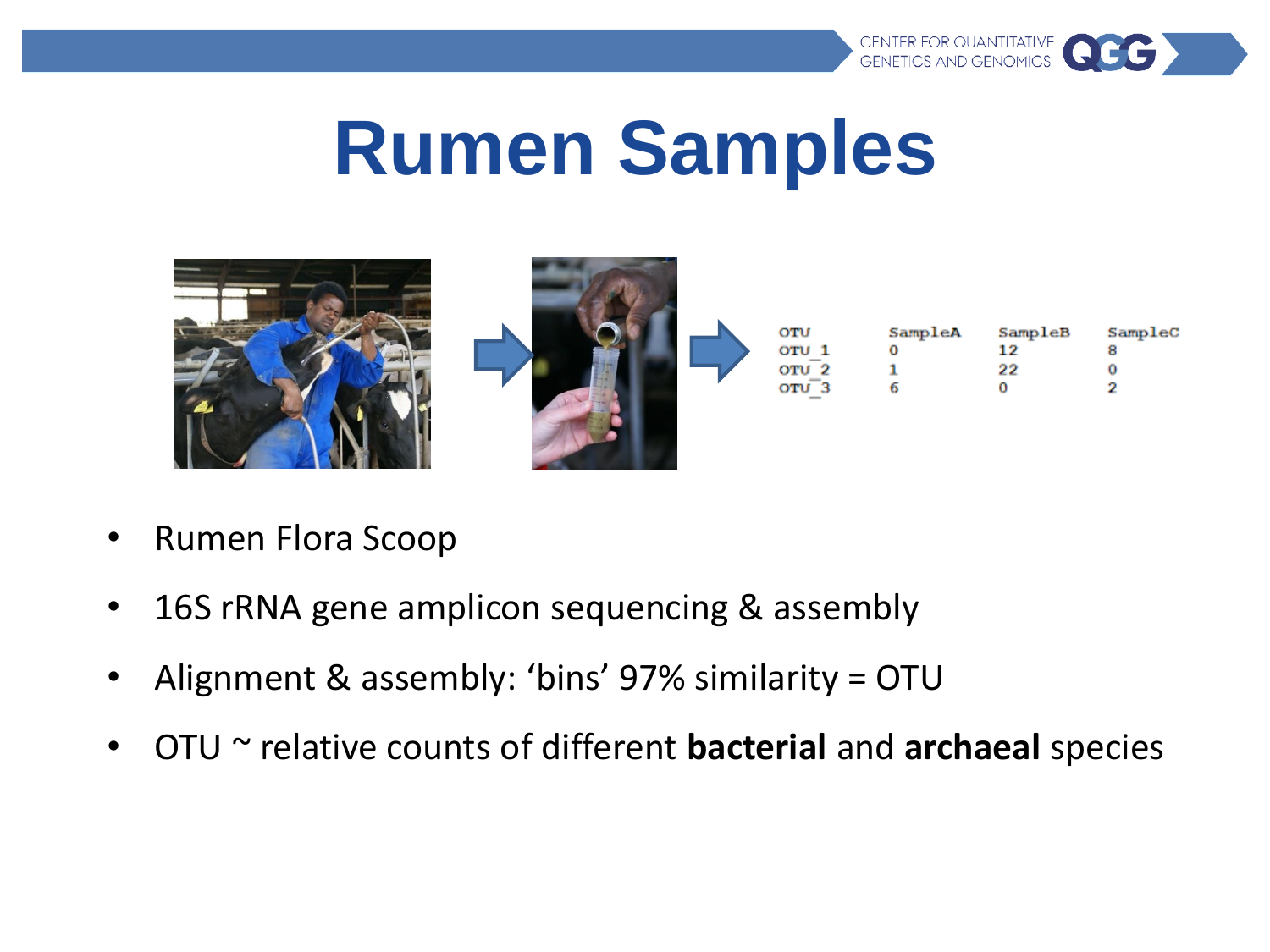

## **Rumen Samples**



- Rumen Flora Scoop
- 16S rRNA gene amplicon sequencing & assembly
- Alignment & assembly: 'bins' 97% similarity = OTU
- OTU ~ relative counts of different **bacterial** and **archaeal** species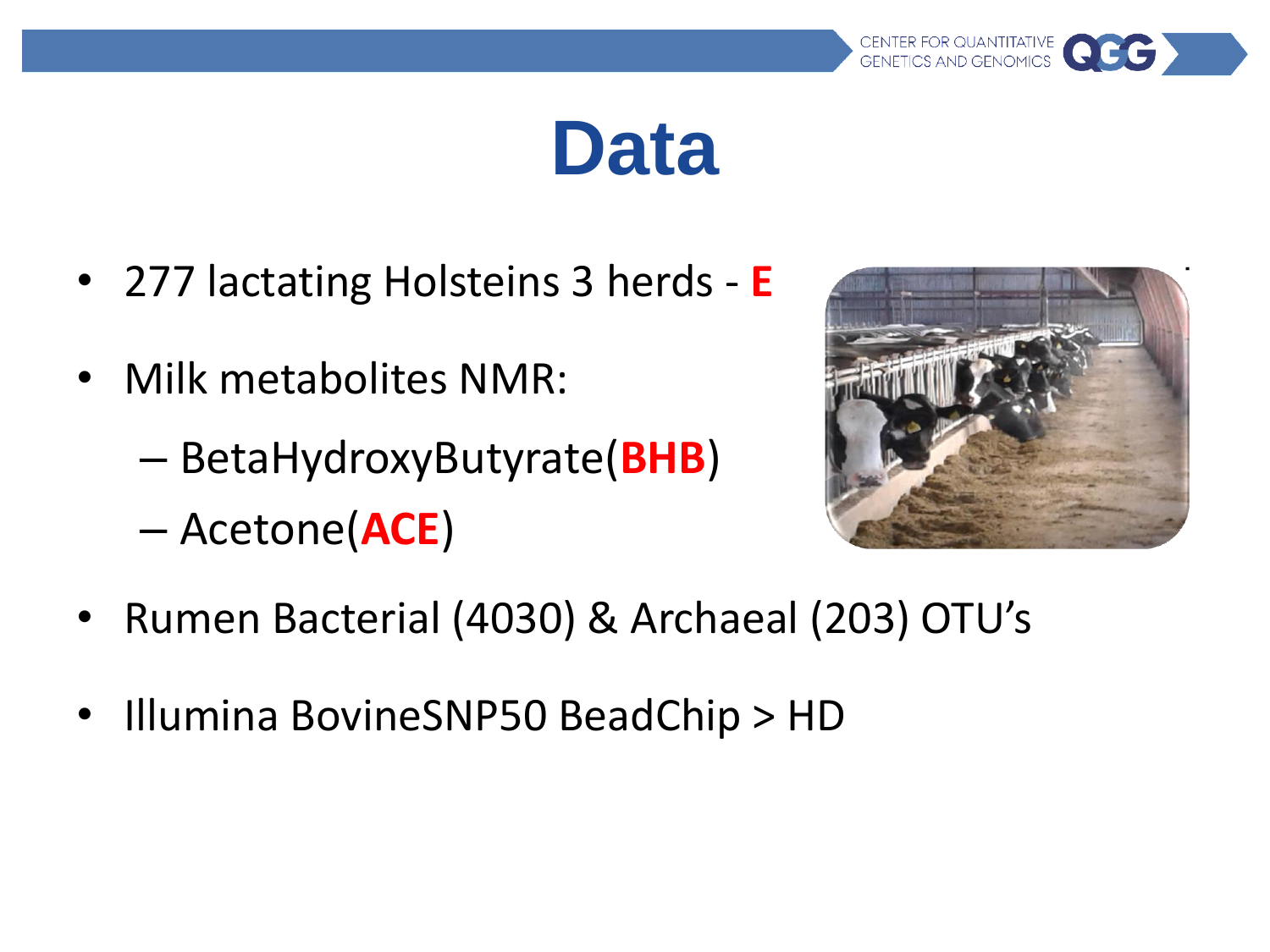#### **Data**

- 277 lactating Holsteins 3 herds **E**
- Milk metabolites NMR:
	- BetaHydroxyButyrate(**BHB**)
	- Acetone(**ACE**)



CENTER FOR QUANTITATIVE<br>GENETICS AND GENOMICS

- Rumen Bacterial (4030) & Archaeal (203) OTU's
- Illumina BovineSNP50 BeadChip > HD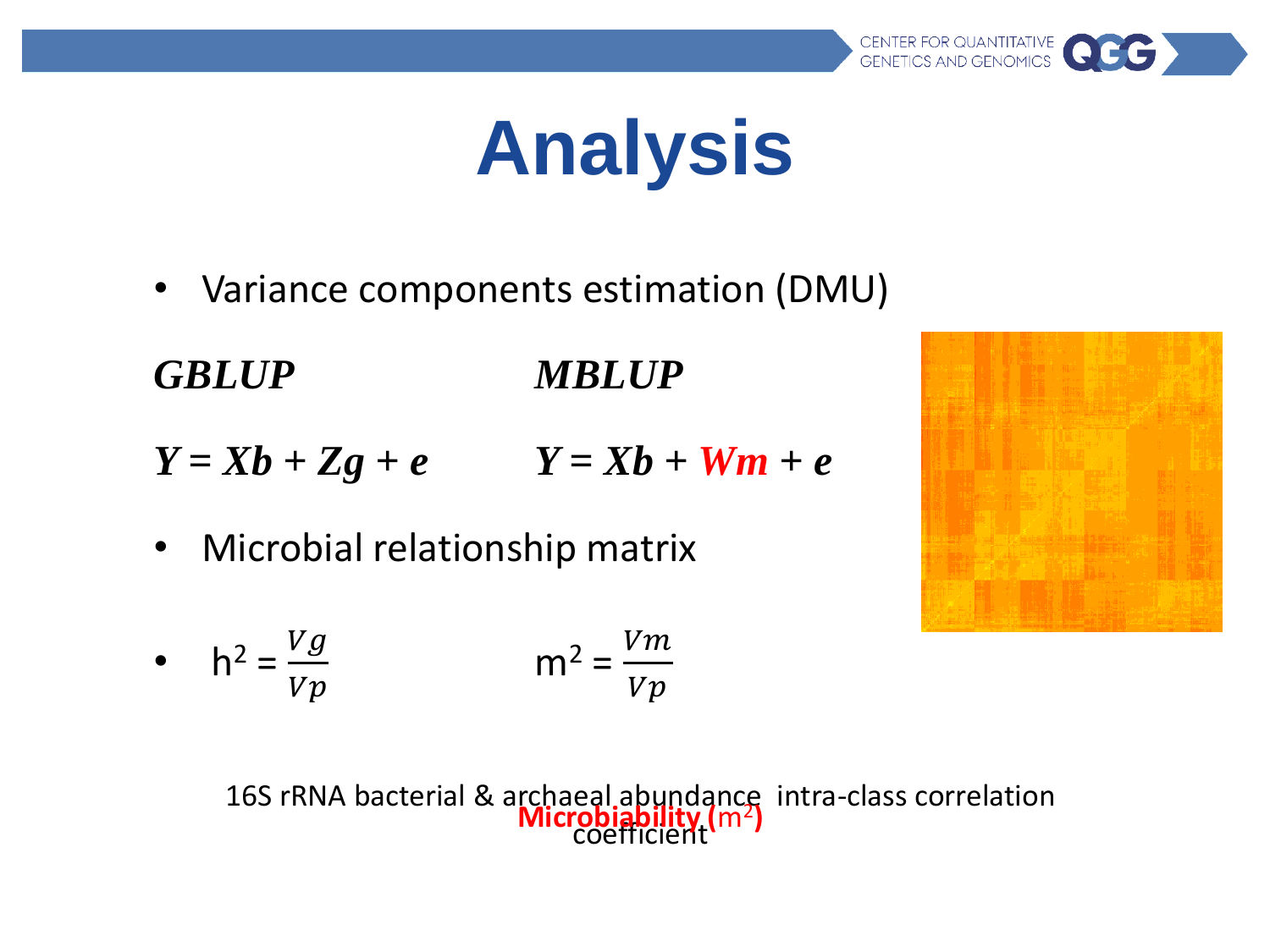# **Analysis**

• Variance components estimation (DMU)

*GBLUP MBLUP*

- $Y = Xb + Zg + e$   $Y = Xb + Wm + e$
- Microbial relationship matrix

• 
$$
h^2 = \frac{Vg}{Vp}
$$
  $m^2 = \frac{Vm}{Vp}$ 

16S rRNA bacterial & archaeal abundance intra-class correlation coefficient **Microbiability (**m<sup>2</sup> **)**

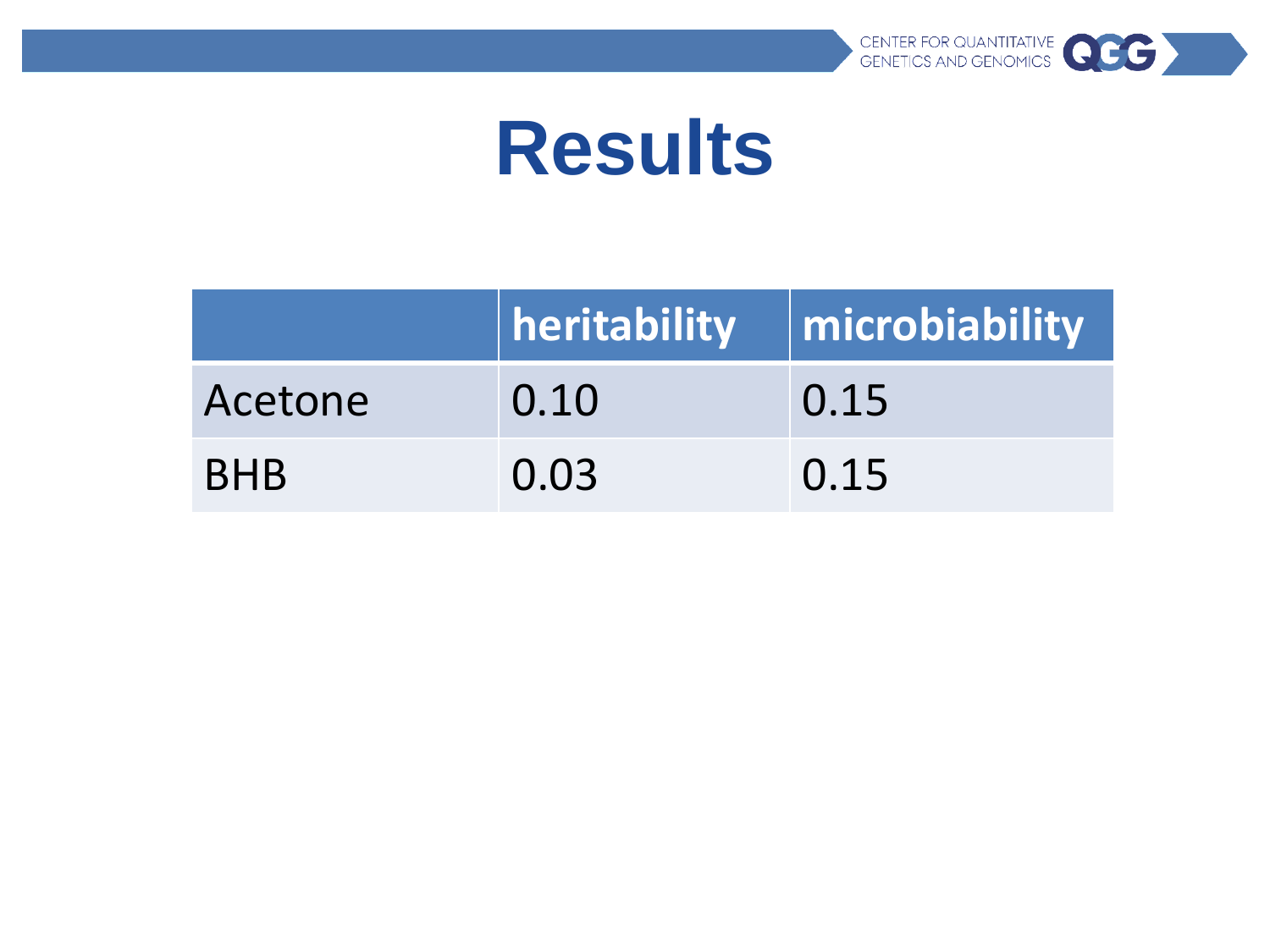

#### **Results**

|            |      | $\vert$ heritability $\vert$ microbiability |
|------------|------|---------------------------------------------|
| Acetone    | 0.10 | 0.15                                        |
| <b>BHB</b> | 0.03 | 0.15                                        |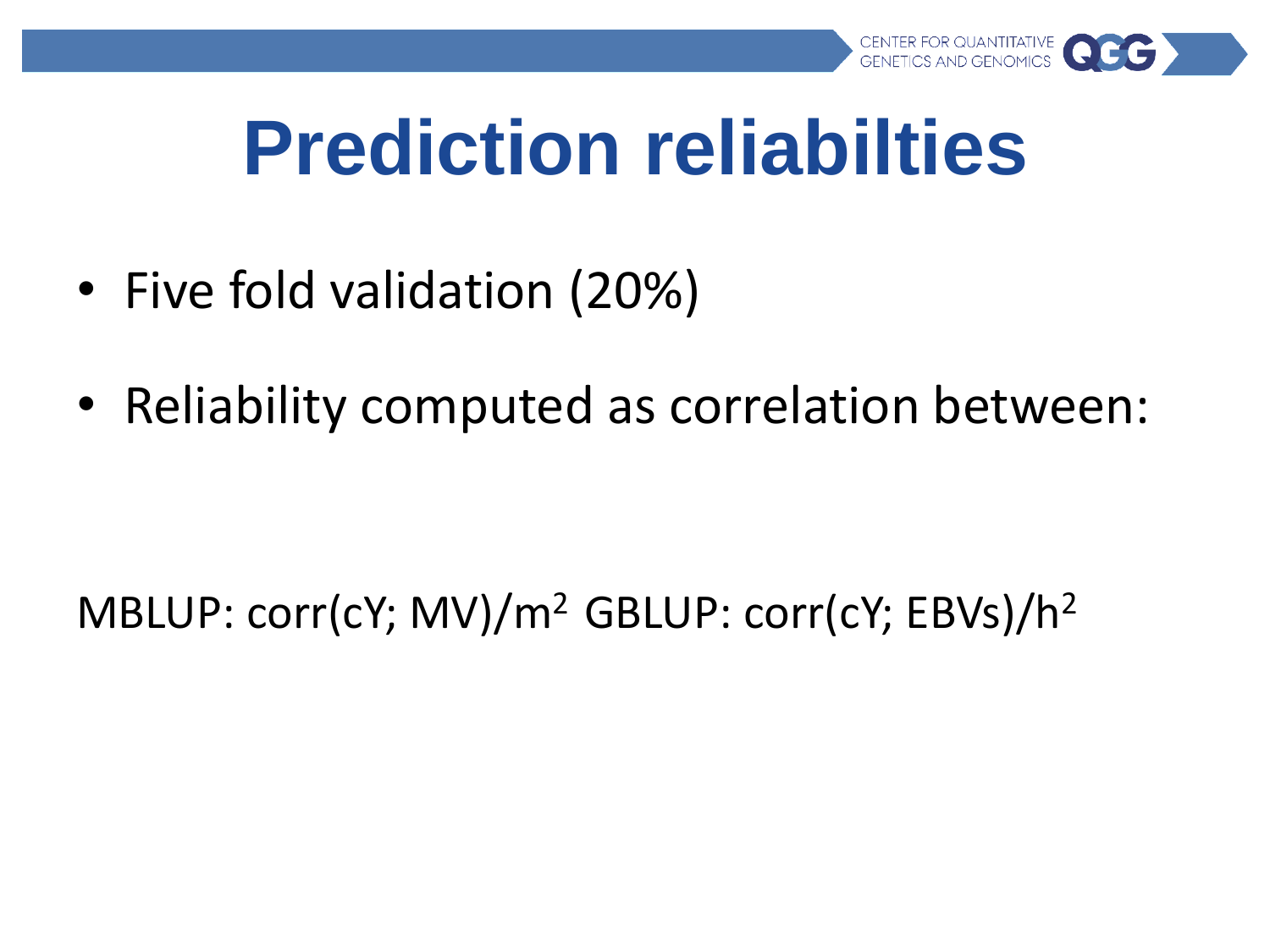

## **Prediction reliabilties**

- Five fold validation (20%)
- Reliability computed as correlation between:

MBLUP: corr(cY; MV)/m<sup>2</sup> GBLUP: corr(cY; EBVs)/h<sup>2</sup>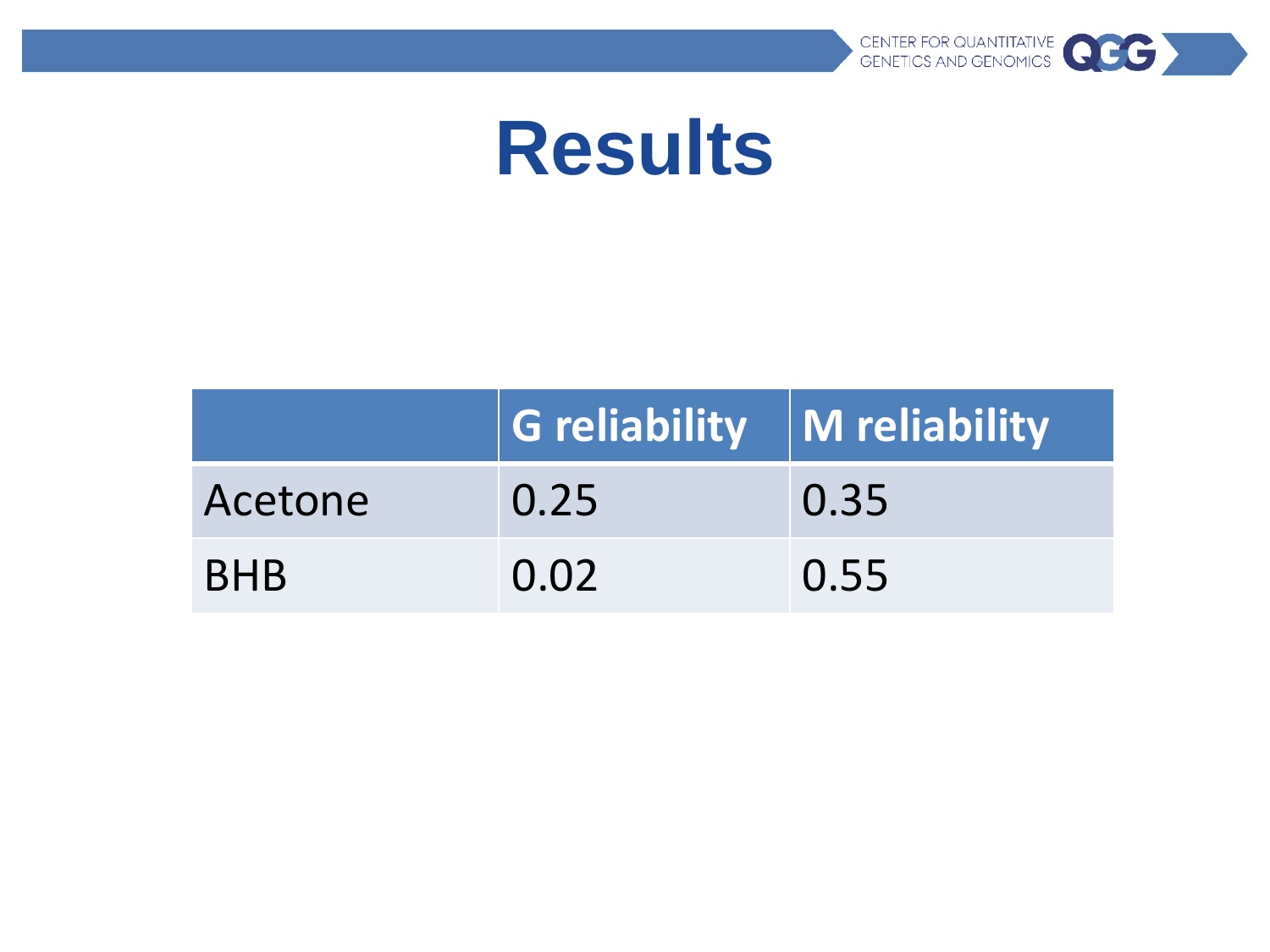

#### **Results**

|            | $\vert$ G reliability $\vert$ M reliability |      |
|------------|---------------------------------------------|------|
| Acetone    | 0.25                                        | 0.35 |
| <b>BHB</b> | 0.02                                        | 0.55 |